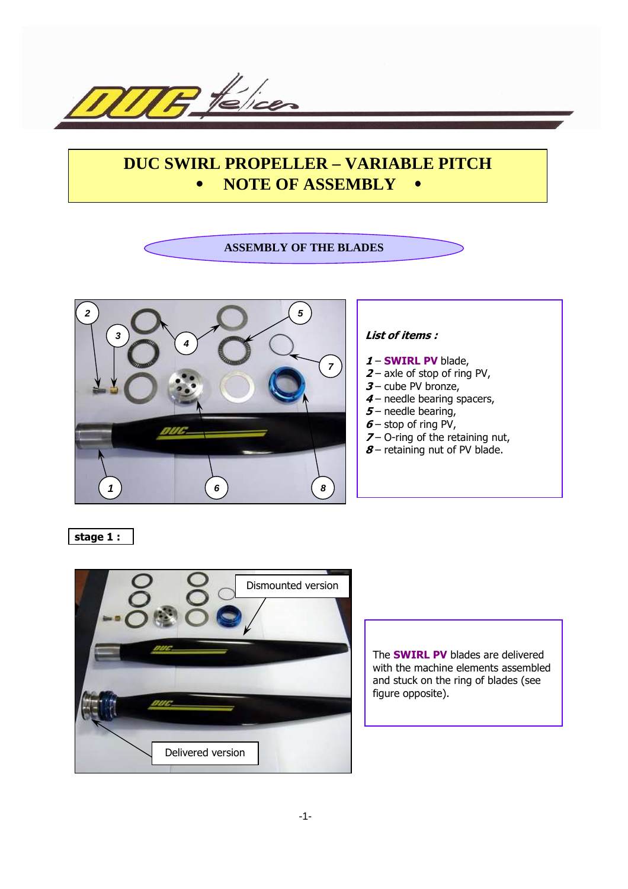

# **DUC SWIRL PROPELLER – VARIABLE PITCH** • **NOTE OF ASSEMBLY** •

# **ASSEMBLY OF THE BLADES**



#### List of items :

- 1 **SWIRL PV** blade,
- $2$  axle of stop of ring PV,
	- $3$  cube PV bronze,
- 4 needle bearing spacers,
- $5$  needle bearing,
- $6 -$  stop of ring PV,
- $7 -$  O-ring of the retaining nut,
- $8$  retaining nut of PV blade.

stage 1 :



The SWIRL PV blades are delivered with the machine elements assembled and stuck on the ring of blades (see figure opposite).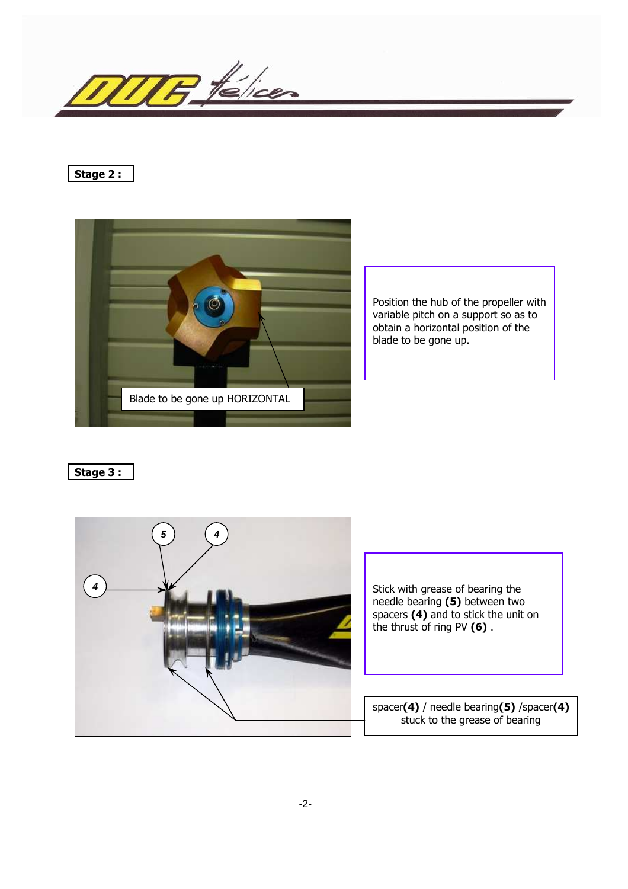

### Stage 2 :



Position the hub of the propeller with variable pitch on a support so as to obtain a horizontal position of the blade to be gone up.

Stage 3 :



Stick with grease of bearing the needle bearing (5) between two spacers (4) and to stick the unit on the thrust of ring PV (6) .

spacer(4) / needle bearing(5) /spacer(4) stuck to the grease of bearing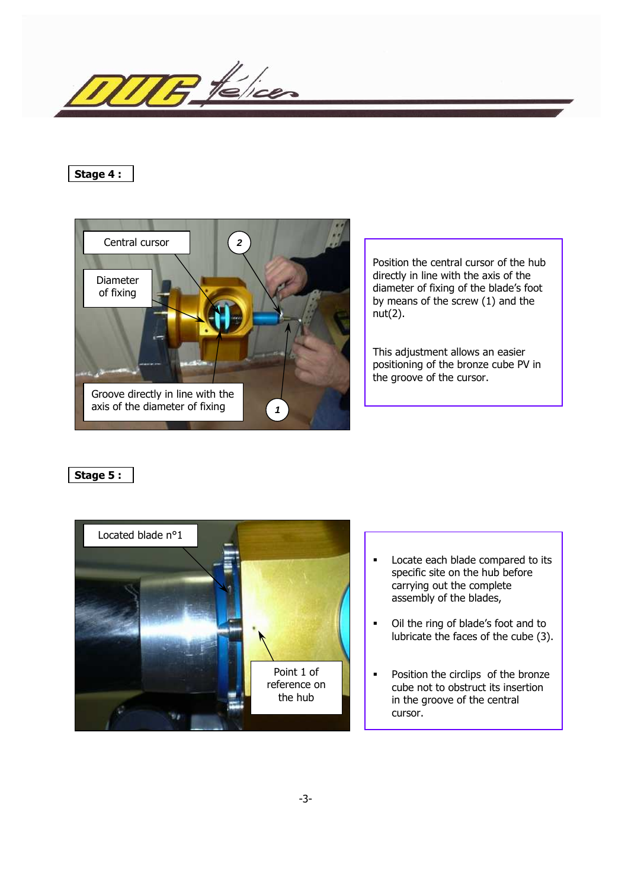

#### Stage 4 :



Position the central cursor of the hub directly in line with the axis of the diameter of fixing of the blade's foot by means of the screw (1) and the nut(2).

This adjustment allows an easier positioning of the bronze cube PV in the groove of the cursor.

Stage 5 :



- **Locate each blade compared to its** specific site on the hub before carrying out the complete assembly of the blades,
- Oil the ring of blade's foot and to lubricate the faces of the cube (3).
- **•** Position the circlips of the bronze cube not to obstruct its insertion in the groove of the central cursor.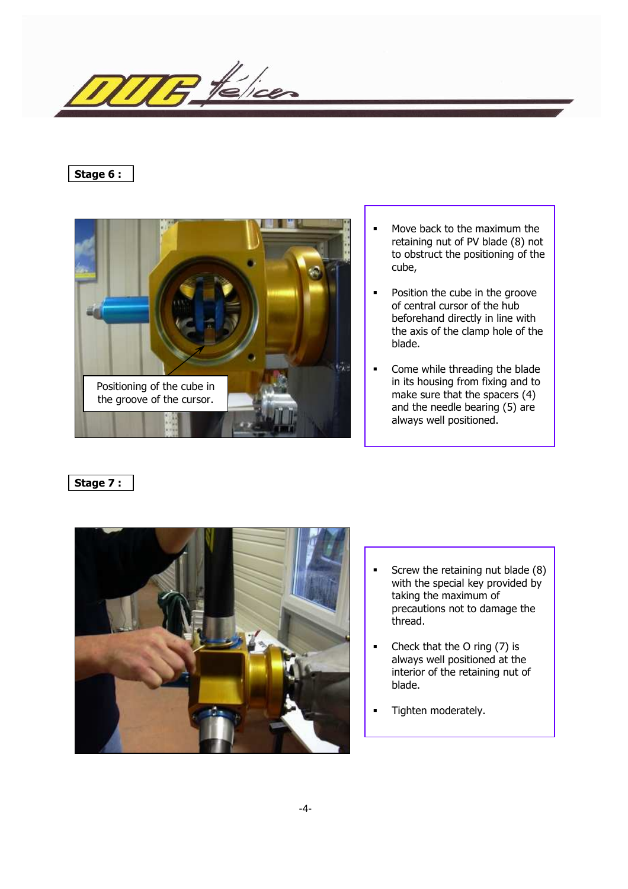$P$  telicer

# Stage 6 :



- Move back to the maximum the retaining nut of PV blade (8) not to obstruct the positioning of the cube,
- **•** Position the cube in the groove of central cursor of the hub beforehand directly in line with the axis of the clamp hole of the blade.
- Come while threading the blade in its housing from fixing and to make sure that the spacers (4) and the needle bearing (5) are always well positioned.

# Stage 7 :



- **Screw the retaining nut blade (8)** with the special key provided by taking the maximum of precautions not to damage the thread.
- Check that the O ring (7) is always well positioned at the interior of the retaining nut of blade.
- Tighten moderately.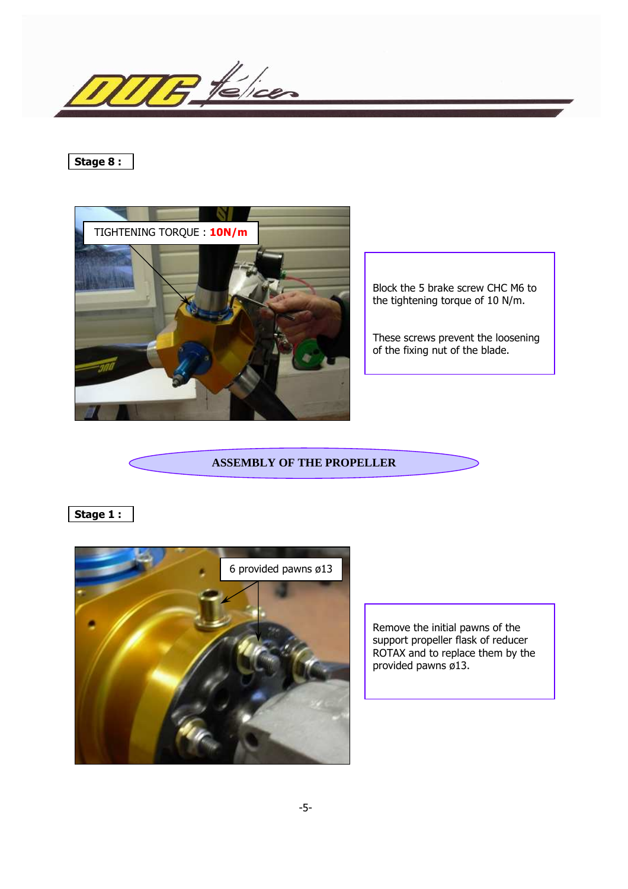$H$  télices

# Stage 8 :



Block the 5 brake screw CHC M6 to the tightening torque of 10 N/m.

These screws prevent the loosening of the fixing nut of the blade.

#### **ASSEMBLY OF THE PROPELLER**

# Stage 1 :



Remove the initial pawns of the support propeller flask of reducer ROTAX and to replace them by the provided pawns ø13.